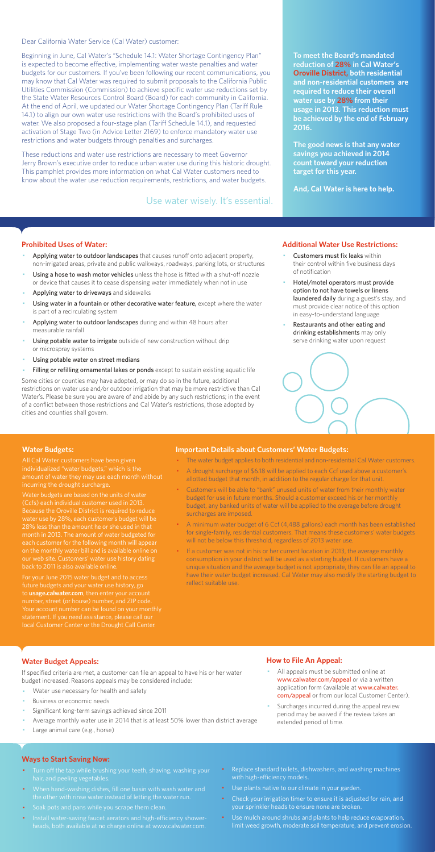Dear California Water Service (Cal Water) customer:

Beginning in June, Cal Water's "Schedule 14.1: Water Shortage Contingency Plan" is expected to become effective, implementing water waste penalties and water budgets for our customers. If you've been following our recent communications, you may know that Cal Water was required to submit proposals to the California Public Utilities Commission (Commission) to achieve specific water use reductions set by the State Water Resources Control Board (Board) for each community in California. At the end of April, we updated our Water Shortage Contingency Plan (Tariff Rule 14.1) to align our own water use restrictions with the Board's prohibited uses of water. We also proposed a four-stage plan (Tariff Schedule 14.1), and requested activation of Stage Two (in Advice Letter 2169) to enforce mandatory water use restrictions and water budgets through penalties and surcharges.

These reductions and water use restrictions are necessary to meet Governor Jerry Brown's executive order to reduce urban water use during this historic drought. This pamphlet provides more information on what Cal Water customers need to know about the water use reduction requirements, restrictions, and water budgets.

#### **Prohibited Uses of Water:**

- Applying water to outdoor landscapes that causes runoff onto adjacent property, non-irrigated areas, private and public walkways, roadways, parking lots, or structures
- Using a hose to wash motor vehicles unless the hose is fitted with a shut-off nozzle or device that causes it to cease dispensing water immediately when not in use
- Applying water to driveways and sidewalks
- Using water in a fountain or other decorative water feature, except where the water is part of a recirculating system
- Applying water to outdoor landscapes during and within 48 hours after measurable rainfall
- Using potable water to irrigate outside of new construction without drip or microspray systems
- Using potable water on street medians
- Filling or refilling ornamental lakes or ponds except to sustain existing aquatic life
- Customers must fix leaks within their control within five business days of notification
- Hotel/motel operators must provide option to not have towels or linens laundered daily during a guest's stay, and must provide clear notice of this option in easy-to-understand language
- Restaurants and other eating and drinking establishments may only serve drinking water upon request



- All appeals must be submitted online at www.calwater.com/appeal or via a written application form (available at www.calwater. com/appeal or from our local Customer Center).
- · Surcharges incurred during the appeal review period may be waived if the review takes an extended period of time.

Some cities or counties may have adopted, or may do so in the future, additional restrictions on water use and/or outdoor irrigation that may be more restrictive than Cal Water's. Please be sure you are aware of and abide by any such restrictions; in the event of a conflict between those restrictions and Cal Water's restrictions, those adopted by cities and counties shall govern.

- Turn off the tap while brushing your teeth, shaving, washing your hair, and peeling vegetables.
- · When hand-washing dishes, fill one basin with wash water and the other with rinse water instead of letting the water run.
- · Soak pots and pans while you scrape them clean.
- · Install water-saving faucet aerators and high-efficiency showerheads, both available at no charge online at www.calwater.com.
- Replace standard toilets, dishwashers, and washing machines with high-efficiency models.
- · Use plants native to our climate in your garden.
- Check your irrigation timer to ensure it is adjusted for rain, and your sprinkler heads to ensure none are broken.
- · Use mulch around shrubs and plants to help reduce evaporation, limit weed growth, moderate soil temperature, and prevent erosion.

**To meet the Board's mandated reduction of 28% in Cal Water's Oroville District, both residential and non-residential customers are required to reduce their overall water use by 28% from their usage in 2013. This reduction must be achieved by the end of February 2016.** 

**The good news is that any water savings you achieved in 2014 count toward your reduction target for this year.** 

**And, Cal Water is here to help.** 

#### **Additional Water Use Restrictions:**

## **Water Budget Appeals:**

If specified criteria are met, a customer can file an appeal to have his or her water budget increased. Reasons appeals may be considered include:

- Water use necessary for health and safety
- Business or economic needs
- Significant long-term savings achieved since 2011
- Average monthly water use in 2014 that is at least 50% lower than district average
- Large animal care (e.g., horse)

If a customer was not in his or her current location in 2013, the average monthly consumption in your district will be used as a starting budget. If customers have a unique situation and the average budget is not appropriate, they can file an appeal to have their water budget increased. Cal Water may also modify the starting budget to reflect suitable use.

## **How to File An Appeal:**

#### **Ways to Start Saving Now:**

Use water wisely. It's essential.

#### **Water Budgets:**

individualized "water budgets," which is the incurring the drought surcharge.

Water budgets are based on the units of water (Ccfs) each individual customer used in 2013. water use by 28%, each customer's budget will be 28% less than the amount he or she used in that month in 2013. The amount of water budgeted for each customer for the following month will appea on the monthly water bill and is available online on

For your June 2015 water budget and to access future budgets and your water use history, go to **usage.calwater.com**, then enter your account number, street (or house) number, and ZIP code. local Customer Center or the Drought Call Center.

#### **Important Details about Customers' Water Budgets:**

- · The water budget applies to both residential and non-residential Cal Water customers.
- · A drought surcharge of \$6.18 will be applied to each Ccf used above a customer's allotted budget that month, in addition to the regular charge for that unit.
- · Customers will be able to "bank" unused units of water from their monthly water budget for use in future months. Should a customer exceed his or her monthly budget, any banked units of water will be applied to the overage before drought surcharges are imposed.
- · A minimum water budget of 6 Ccf (4,488 gallons) each month has been established for single-family, residential customers. That means these customers' water budgets will not be below this threshold, regardless of 2013 water use.